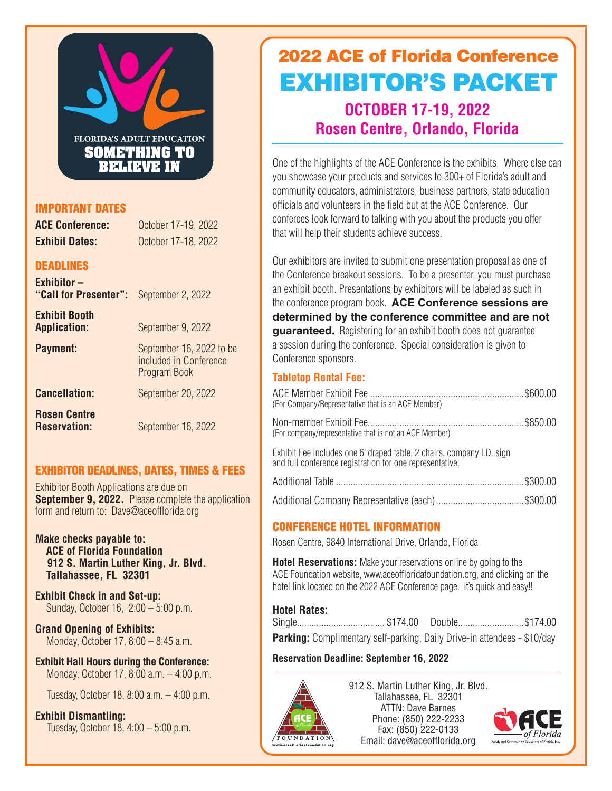

## IMPORTANT DATES

**ACE Conference:** October 17-19, 2022 **Exhibit Dates: October 17-18, 2022** 

## **DEADLINES**

| <b>Exhibitor-</b><br>"Call for Presenter":  | September 2, 2022                                                  |
|---------------------------------------------|--------------------------------------------------------------------|
| <b>Exhibit Booth</b><br><b>Application:</b> | September 9, 2022                                                  |
| <b>Payment:</b>                             | September 16, 2022 to be<br>included in Conference<br>Program Book |
| <b>Cancellation:</b>                        | September 20, 2022                                                 |
| <b>Rosen Centre</b><br><b>Reservation:</b>  | September 16, 2022                                                 |

## EXHIBITOR DEADLINES, DATES, TIMES & FEES

Exhibitor Booth Applications are due on **September 9, 2022.** Please complete the application form and return to: Dave@aceofflorida.org

**Make checks payable to: ACE of Florida Foundation 912 S. Martin Luther King, Jr. Blvd. Tallahassee, FL 32301**

**Exhibit Check in and Set-up:**  Sunday, October 16, 2:00 – 5:00 p.m.

**Grand Opening of Exhibits:**  Monday, October 17, 8:00 – 8:45 a.m.

**Exhibit Hall Hours during the Conference:**  Monday, October 17, 8:00 a.m. – 4:00 p.m.

Tuesday, October 18, 8:00 a.m. – 4:00 p.m.

**Exhibit Dismantling:** Tuesday, October 18, 4:00 – 5:00 p.m.

# **OCTOBER 17-19, 2022 Rosen Centre, Orlando, Florida** 2022 ACE of Florida Conference EXHIBITOR'S PACKET

One of the highlights of the ACE Conference is the exhibits. Where else can you showcase your products and services to 300+ of Florida's adult and community educators, administrators, business partners, state education officials and volunteers in the field but at the ACE Conference. Our conferees look forward to talking with you about the products you offer that will help their students achieve success.

Our exhibitors are invited to submit one presentation proposal as one of the Conference breakout sessions. To be a presenter, you must purchase an exhibit booth. Presentations by exhibitors will be labeled as such in the conference program book. **ACE Conference sessions are determined by the conference committee and are not guaranteed.** Registering for an exhibit booth does not quarantee a session during the conference. Special consideration is given to Conference sponsors.

## **Tabletop Rental Fee:**

| (For Company/Representative that is an ACE Member)                                                                                |  |
|-----------------------------------------------------------------------------------------------------------------------------------|--|
| (For company/representative that is not an ACE Member)                                                                            |  |
| Exhibit Fee includes one 6' draped table, 2 chairs, company I.D. sign<br>and full conference registration for one representative. |  |
|                                                                                                                                   |  |

Additional Company Representative (each)....................................\$300.00

## CONFERENCE HOTEL INFORMATION

Rosen Centre, 9840 International Drive, Orlando, Florida

**Hotel Reservations:** Make your reservations online by going to the ACE Foundation website, www.aceoffloridafoundation.org, and clicking on the hotel link located on the 2022 ACE Conference page. It's quick and easy!!

## **Hotel Rates:**

Single.................................... \$174.00 Double...........................\$174.00 **Parking:** Complimentary self-parking, Daily Drive-in attendees - \$10/day

**Reservation Deadline: September 16, 2022**



912 S. Martin Luther King, Jr. Blvd. Tallahassee, FL 32301 ATTN: Dave Barnes Phone: (850) 222-2233 Fax: (850) 222-0133 Email: dave@aceofflorida.org

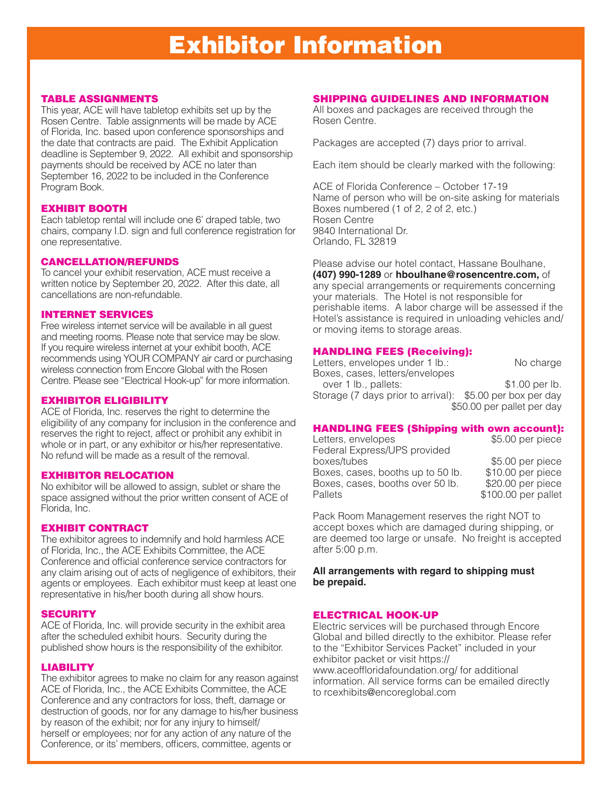#### TABLE ASSIGNMENTS

This year, ACE will have tabletop exhibits set up by the Rosen Centre. Table assignments will be made by ACE of Florida, Inc. based upon conference sponsorships and the date that contracts are paid. The Exhibit Application deadline is September 9, 2022. All exhibit and sponsorship payments should be received by ACE no later than September 16, 2022 to be included in the Conference Program Book.

#### EXHIBIT BOOTH

Each tabletop rental will include one 6' draped table, two chairs, company I.D. sign and full conference registration for one representative.

#### CANCELLATION/REFUNDS

To cancel your exhibit reservation, ACE must receive a written notice by September 20, 2022. After this date, all cancellations are non-refundable.

#### INTERNET SERVICES

Free wireless internet service will be available in all guest and meeting rooms. Please note that service may be slow. If you require wireless internet at your exhibit booth, ACE recommends using YOUR COMPANY air card or purchasing wireless connection from Encore Global with the Rosen Centre. Please see "Electrical Hook-up" for more information.

#### EXHIBITOR ELIGIBILITY

ACE of Florida, Inc. reserves the right to determine the eligibility of any company for inclusion in the conference and reserves the right to reject, affect or prohibit any exhibit in whole or in part, or any exhibitor or his/her representative. No refund will be made as a result of the removal.

#### EXHIBITOR RELOCATION

No exhibitor will be allowed to assign, sublet or share the space assigned without the prior written consent of ACE of Florida, Inc.

#### EXHIBIT CONTRACT

The exhibitor agrees to indemnify and hold harmless ACE of Florida, Inc., the ACE Exhibits Committee, the ACE Conference and official conference service contractors for any claim arising out of acts of negligence of exhibitors, their agents or employees. Each exhibitor must keep at least one representative in his/her booth during all show hours.

#### **SECURITY**

ACE of Florida, Inc. will provide security in the exhibit area after the scheduled exhibit hours. Security during the published show hours is the responsibility of the exhibitor.

#### LIABILITY

The exhibitor agrees to make no claim for any reason against ACE of Florida, Inc., the ACE Exhibits Committee, the ACE Conference and any contractors for loss, theft, damage or destruction of goods, nor for any damage to his/her business by reason of the exhibit; nor for any injury to himself/ herself or employees; nor for any action of any nature of the Conference, or its' members, officers, committee, agents or

#### SHIPPING GUIDELINES AND INFORMATION

All boxes and packages are received through the Rosen Centre.

Packages are accepted (7) days prior to arrival.

Each item should be clearly marked with the following:

ACE of Florida Conference – October 17-19 Name of person who will be on-site asking for materials Boxes numbered (1 of 2, 2 of 2, etc.) Rosen Centre 9840 International Dr. Orlando, FL 32819

Please advise our hotel contact, Hassane Boulhane, **(407) 990-1289** or **hboulhane@rosencentre.com,** of any special arrangements or requirements concerning your materials. The Hotel is not responsible for perishable items. A labor charge will be assessed if the Hotel's assistance is required in unloading vehicles and/ or moving items to storage areas.

#### HANDLING FEES (Receiving):

| Letters, envelopes under 1 lb.:                           | No charge                  |
|-----------------------------------------------------------|----------------------------|
| Boxes, cases, letters/envelopes                           |                            |
| over 1 lb., pallets:                                      | \$1.00 per lb.             |
| Storage (7 days prior to arrival): \$5.00 per box per day |                            |
|                                                           | \$50.00 per pallet per day |

#### HANDLING FEES (Shipping with own account):

| Letters, envelopes                | \$5.00 per piece    |
|-----------------------------------|---------------------|
| Federal Express/UPS provided      |                     |
| boxes/tubes                       | \$5.00 per piece    |
| Boxes, cases, booths up to 50 lb. | \$10.00 per piece   |
| Boxes, cases, booths over 50 lb.  | \$20.00 per piece   |
| Pallets                           | \$100.00 per pallet |
|                                   |                     |

Pack Room Management reserves the right NOT to accept boxes which are damaged during shipping, or are deemed too large or unsafe. No freight is accepted after 5:00 p.m.

#### **All arrangements with regard to shipping must be prepaid.**

#### ELECTRICAL HOOK-UP

Electric services will be purchased through Encore Global and billed directly to the exhibitor. Please refer to the "Exhibitor Services Packet" included in your exhibitor packet or visit https:// www.aceoffloridafoundation.org/ for additional information. All service forms can be emailed directly to rcexhibits@encoreglobal.com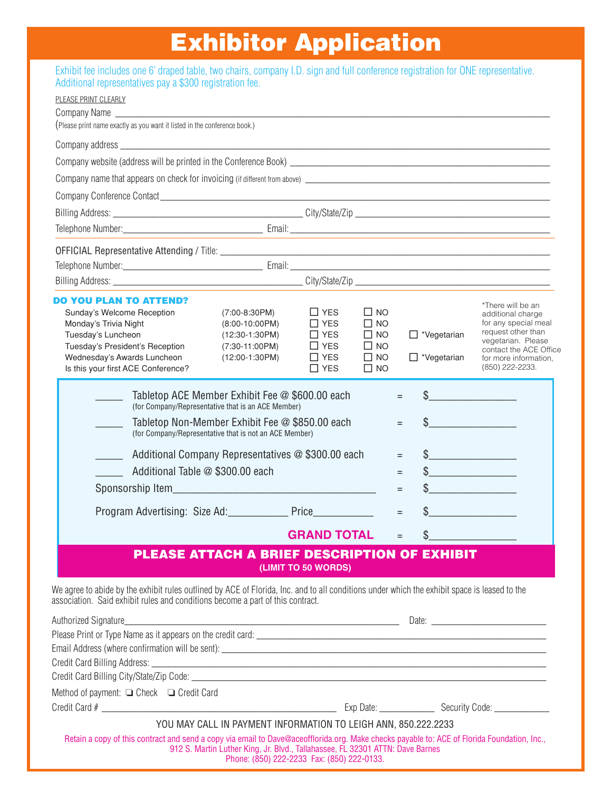### Exhibit Fee includes one 6' draped table, 2 chairs, company I.D. sign and full conference registration for one representative. Exhibitor Application

| Exhibit fee includes one 6' draped table, two chairs, company I.D. sign and full conference registration for ONE representative. |  |  |  |  |
|----------------------------------------------------------------------------------------------------------------------------------|--|--|--|--|
| Additional representatives pay a \$300 registration fee.                                                                         |  |  |  |  |

| PLEASE PRINT CLEARLY                                                                                                                                                                                                           |                                                                                                           |                            |                           |                      |                                                 |
|--------------------------------------------------------------------------------------------------------------------------------------------------------------------------------------------------------------------------------|-----------------------------------------------------------------------------------------------------------|----------------------------|---------------------------|----------------------|-------------------------------------------------|
|                                                                                                                                                                                                                                |                                                                                                           |                            |                           |                      |                                                 |
| (Please print name exactly as you want it listed in the conference book.)                                                                                                                                                      |                                                                                                           |                            |                           |                      |                                                 |
|                                                                                                                                                                                                                                |                                                                                                           |                            |                           |                      |                                                 |
| Company website (address will be printed in the Conference Book) Learness Company website (address will be printed in the Conference Book)                                                                                     |                                                                                                           |                            |                           |                      |                                                 |
|                                                                                                                                                                                                                                |                                                                                                           |                            |                           |                      |                                                 |
|                                                                                                                                                                                                                                |                                                                                                           |                            |                           |                      |                                                 |
|                                                                                                                                                                                                                                |                                                                                                           |                            |                           |                      |                                                 |
|                                                                                                                                                                                                                                |                                                                                                           |                            |                           |                      |                                                 |
|                                                                                                                                                                                                                                |                                                                                                           |                            |                           |                      |                                                 |
|                                                                                                                                                                                                                                |                                                                                                           |                            |                           |                      |                                                 |
|                                                                                                                                                                                                                                |                                                                                                           |                            |                           |                      |                                                 |
| <b>DO YOU PLAN TO ATTEND?</b>                                                                                                                                                                                                  |                                                                                                           |                            |                           |                      | *There will be an                               |
| Sunday's Welcome Reception                                                                                                                                                                                                     | $(7:00-8:30PM)$                                                                                           | $\Box$ YES                 | <b>NO</b><br>$\mathbf{I}$ |                      | additional charge                               |
| Monday's Trivia Night                                                                                                                                                                                                          | $(8:00-10:00PM)$                                                                                          | $\Box$ YES                 | <b>NO</b>                 |                      | for any special meal<br>request other than      |
| Tuesday's Luncheon<br>Tuesday's President's Reception                                                                                                                                                                          | $(12:30-1:30PM)$<br>$(7:30-11:00PM)$                                                                      | $\Box$ Yes<br>$\sqcap$ Yes | $\square$ NO<br>$\Box$ No | $\Box$ *Vegetarian   | vegetarian. Please                              |
| Wednesday's Awards Luncheon                                                                                                                                                                                                    | $(12:00-1:30PM)$                                                                                          | $\Box$ YES                 | $\Box$ NO                 | $\Box$ *Vegetarian   | contact the ACE Office<br>for more information. |
| Is this your first ACE Conference?                                                                                                                                                                                             |                                                                                                           | $\Box$ YES                 | $\Box$ NO                 |                      | (850) 222-2233.                                 |
|                                                                                                                                                                                                                                |                                                                                                           |                            |                           |                      |                                                 |
|                                                                                                                                                                                                                                | Tabletop ACE Member Exhibit Fee @ \$600.00 each<br>(for Company/Representative that is an ACE Member)     |                            |                           | $=$                  |                                                 |
|                                                                                                                                                                                                                                | Tabletop Non-Member Exhibit Fee @ \$850.00 each<br>(for Company/Representative that is not an ACE Member) |                            |                           | $=$                  |                                                 |
|                                                                                                                                                                                                                                | Additional Company Representatives @ \$300.00 each                                                        |                            |                           | $\sim$<br>$=$        |                                                 |
| Additional Table @ \$300.00 each                                                                                                                                                                                               |                                                                                                           |                            |                           | $\frac{1}{2}$<br>$=$ |                                                 |
|                                                                                                                                                                                                                                |                                                                                                           |                            |                           | $=$                  |                                                 |
| Program Advertising: Size Ad: Price                                                                                                                                                                                            |                                                                                                           |                            |                           | $=$                  |                                                 |
|                                                                                                                                                                                                                                |                                                                                                           |                            |                           |                      |                                                 |
|                                                                                                                                                                                                                                |                                                                                                           | <b>GRAND TOTAL</b>         |                           | \$<br>$=$            |                                                 |
|                                                                                                                                                                                                                                | PLEASE ATTACH A BRIEF DESCRIPTION OF EXHIBIT                                                              |                            |                           |                      |                                                 |
|                                                                                                                                                                                                                                |                                                                                                           | (LIMIT TO 50 WORDS)        |                           |                      |                                                 |
| We agree to abide by the exhibit rules outlined by ACE of Florida, Inc. and to all conditions under which the exhibit space is leased to the<br>association. Said exhibit rules and conditions become a part of this contract. |                                                                                                           |                            |                           |                      |                                                 |
| Authorized Signature_                                                                                                                                                                                                          |                                                                                                           |                            |                           |                      |                                                 |
|                                                                                                                                                                                                                                |                                                                                                           |                            |                           |                      |                                                 |
|                                                                                                                                                                                                                                |                                                                                                           |                            |                           |                      |                                                 |
|                                                                                                                                                                                                                                |                                                                                                           |                            |                           |                      |                                                 |
|                                                                                                                                                                                                                                |                                                                                                           |                            |                           |                      |                                                 |
| Method of payment: □ Check □ Credit Card                                                                                                                                                                                       |                                                                                                           |                            |                           |                      |                                                 |
|                                                                                                                                                                                                                                |                                                                                                           |                            |                           |                      |                                                 |
|                                                                                                                                                                                                                                |                                                                                                           |                            |                           |                      |                                                 |

YOU MAY CALL IN PAYMENT INFORMATION TO LEIGH ANN, 850.222.2233

Retain a copy of this contract and send a copy via email to Dave@aceofflorida.org. Make checks payable to: ACE of Florida Foundation, Inc., 912 S. Martin Luther King, Jr. Blvd., Tallahassee, FL 32301 ATTN: Dave Barnes Phone: (850) 222-2233 Fax: (850) 222-0133.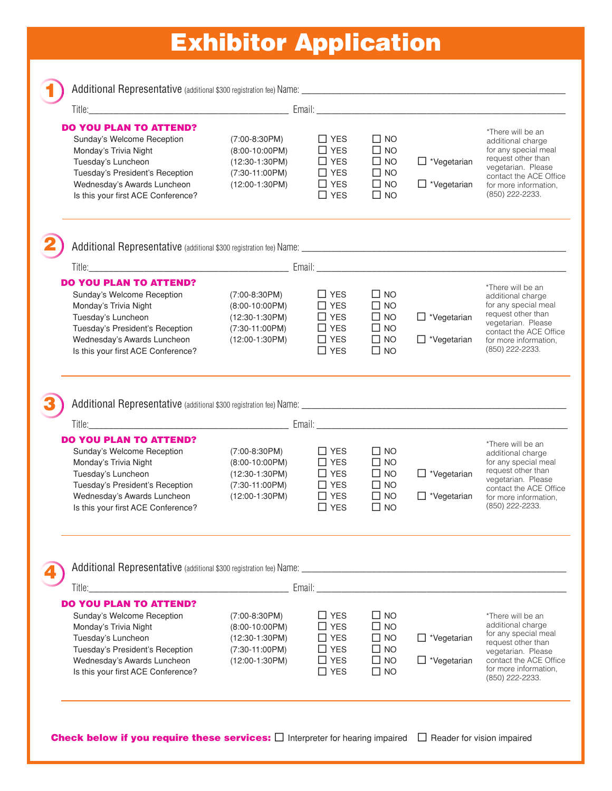# Exhibitor Application

| $\frac{1}{2}$ |  |
|---------------|--|
| m.            |  |
|               |  |
|               |  |
|               |  |

Additional Representative (additional \$300 registration fee) Name: \_\_\_\_\_\_\_\_\_\_\_\_\_\_\_\_\_\_\_\_\_\_\_\_\_\_\_\_\_\_\_\_\_\_\_\_\_\_\_\_\_\_\_\_\_\_\_\_\_\_\_\_\_

| Title:                                                                                                                                                                                                                         | Email: $\overline{\phantom{a}}$                                                                 |                                                                                        |                                                                                           |                                                    |                                                                                                       |
|--------------------------------------------------------------------------------------------------------------------------------------------------------------------------------------------------------------------------------|-------------------------------------------------------------------------------------------------|----------------------------------------------------------------------------------------|-------------------------------------------------------------------------------------------|----------------------------------------------------|-------------------------------------------------------------------------------------------------------|
| <b>DO YOU PLAN TO ATTEND?</b>                                                                                                                                                                                                  |                                                                                                 |                                                                                        |                                                                                           |                                                    |                                                                                                       |
| Sunday's Welcome Reception                                                                                                                                                                                                     | $(7:00-8:30PM)$                                                                                 | $\Box$ YES                                                                             | $\square$ NO                                                                              |                                                    | *There will be an<br>additional charge                                                                |
| Monday's Trivia Night                                                                                                                                                                                                          | $(8:00-10:00PM)$                                                                                | $\Box$ YES                                                                             | $\square$ NO                                                                              |                                                    | for any special meal                                                                                  |
| Tuesday's Luncheon                                                                                                                                                                                                             | $(12:30-1:30PM)$                                                                                | $\Box$ YES                                                                             | $\square$ NO                                                                              | $\Box$ *Vegetarian                                 | request other than<br>vegetarian. Please                                                              |
| Tuesday's President's Reception                                                                                                                                                                                                | $(7:30-11:00PM)$                                                                                | $\Box$ YES                                                                             | $\square$ NO                                                                              |                                                    | contact the ACE Office                                                                                |
| Wednesday's Awards Luncheon                                                                                                                                                                                                    | $(12:00-1:30PM)$                                                                                | $\Box$ YES                                                                             | $\square$ NO                                                                              | $\Box$ *Vegetarian                                 | for more information,                                                                                 |
| Is this your first ACE Conference?                                                                                                                                                                                             |                                                                                                 | $\Box$ YES                                                                             | $\square$ NO                                                                              |                                                    | (850) 222-2233.                                                                                       |
|                                                                                                                                                                                                                                |                                                                                                 |                                                                                        |                                                                                           |                                                    |                                                                                                       |
|                                                                                                                                                                                                                                |                                                                                                 |                                                                                        |                                                                                           |                                                    |                                                                                                       |
| <b>DO YOU PLAN TO ATTEND?</b>                                                                                                                                                                                                  |                                                                                                 |                                                                                        |                                                                                           |                                                    | *There will be an                                                                                     |
| Sunday's Welcome Reception                                                                                                                                                                                                     | $(7:00-8:30PM)$                                                                                 | $\Box$ YES                                                                             | $\square$ NO                                                                              |                                                    | additional charge                                                                                     |
| Monday's Trivia Night                                                                                                                                                                                                          | $(8:00-10:00PM)$                                                                                | $\Box$ YES                                                                             | $\Box$ NO                                                                                 |                                                    | for any special meal                                                                                  |
| Tuesday's Luncheon                                                                                                                                                                                                             | $(12:30-1:30PM)$                                                                                | $\Box$ YES                                                                             | $\square$ NO                                                                              | $\Box$ *Vegetarian                                 | request other than<br>vegetarian. Please                                                              |
| Tuesday's President's Reception                                                                                                                                                                                                | $(7:30-11:00PM)$                                                                                | $\Box$ YES                                                                             | $\square$ NO                                                                              |                                                    | contact the ACE Office                                                                                |
| Wednesday's Awards Luncheon                                                                                                                                                                                                    | $(12:00-1:30PM)$                                                                                | $\Box$ YES                                                                             | $\square$ NO                                                                              | $\Box$ *Vegetarian                                 | for more information,                                                                                 |
| Is this your first ACE Conference?                                                                                                                                                                                             |                                                                                                 | $\Box$ YES                                                                             | $\Box$ NO                                                                                 |                                                    | (850) 222-2233.                                                                                       |
| Title: Email: Email: Email: Email: Email: Email: Email: Email: Email: Email: Email: Email: Email: Email: Email: Email: Email: Email: Email: Email: Email: Email: Email: Email: Email: Email: Email: Email: Email: Email: Email |                                                                                                 |                                                                                        |                                                                                           |                                                    |                                                                                                       |
| <b>DO YOU PLAN TO ATTEND?</b><br>Sunday's Welcome Reception<br>Monday's Trivia Night<br>Tuesday's Luncheon<br>Tuesday's President's Reception<br>Wednesday's Awards Luncheon<br>Is this your first ACE Conference?             | $(7:00-8:30PM)$<br>$(8:00-10:00PM)$<br>$(12:30-1:30PM)$<br>$(7:30-11:00PM)$<br>$(12:00-1:30PM)$ | $\Box$ YES<br>$\Box$ YES<br>$\Box$ YES<br>$\square$ YES<br>$\square$ YES<br>$\Box$ YES | $\Box$ NO<br>$\square$ NO<br>$\square$ NO<br>$\square$ NO<br>$\square$ NO<br>$\square$ NO | $\Box$ *Vegetarian<br>$\Box$ *Vegetarian           | *There will be an<br>additional charge<br>request other than<br>vegetarian. Please<br>(850) 222-2233. |
| Additional Representative (additional \$300 registration fee) Name:<br><u> 1980 - Jan Stein Berlin, amerikan b</u><br>Title:_____                                                                                              |                                                                                                 |                                                                                        |                                                                                           | Email: <u>Andrea Barbara and and a statistical</u> | for any special meal<br>contact the ACE Office<br>for more information.                               |
| <b>DO YOU PLAN TO ATTEND?</b>                                                                                                                                                                                                  |                                                                                                 |                                                                                        |                                                                                           |                                                    |                                                                                                       |
| Sunday's Welcome Reception                                                                                                                                                                                                     | $(7:00-8:30PM)$                                                                                 | $\Box$ YES                                                                             | $\square$ NO                                                                              |                                                    | *There will be an                                                                                     |
| Monday's Trivia Night                                                                                                                                                                                                          | $(8:00-10:00PM)$                                                                                | $\Box$ YES                                                                             | $\square$ NO                                                                              |                                                    | additional charge                                                                                     |
| Tuesday's Luncheon                                                                                                                                                                                                             | $(12:30-1:30PM)$                                                                                | $\Box$ YES                                                                             | $\square$ NO                                                                              | $\Box$ *Vegetarian                                 | request other than                                                                                    |
| Tuesday's President's Reception                                                                                                                                                                                                | $(7:30-11:00PM)$                                                                                | $\Box$ YES                                                                             | $\Box$ NO                                                                                 |                                                    | for any special meal<br>vegetarian. Please                                                            |
| Wednesday's Awards Luncheon                                                                                                                                                                                                    | $(12:00-1:30PM)$                                                                                | $\Box$ YES                                                                             | $\square$ NO                                                                              | $\Box$ *Vegetarian                                 | contact the ACE Office                                                                                |
| Is this your first ACE Conference?                                                                                                                                                                                             |                                                                                                 | $\Box$ YES                                                                             | $\square$ NO                                                                              |                                                    | for more information,<br>(850) 222-2233.                                                              |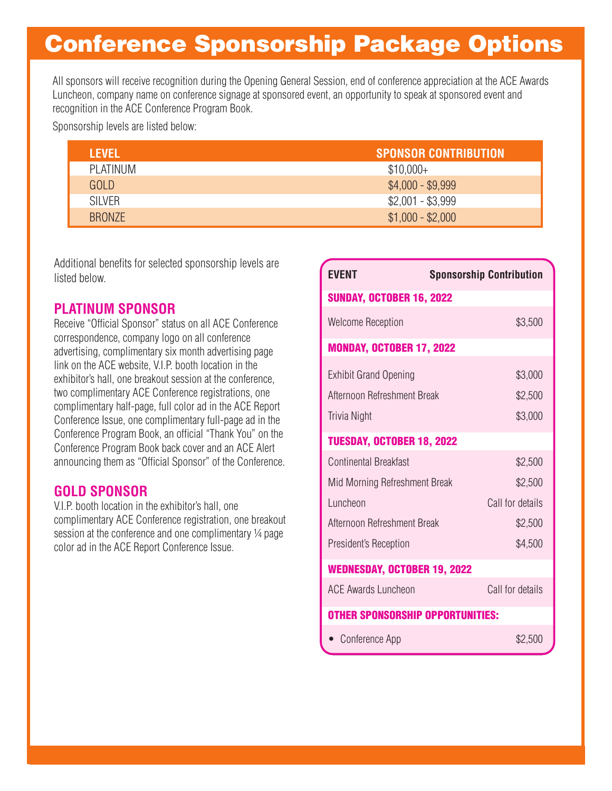# Conference Sponsorship Package Options

All sponsors will receive recognition during the Opening General Session, end of conference appreciation at the ACE Awards Luncheon, company name on conference signage at sponsored event, an opportunity to speak at sponsored event and recognition in the ACE Conference Program Book.

Sponsorship levels are listed below:

| LEVEL         | <b>SPONSOR CONTRIBUTION</b> |
|---------------|-----------------------------|
| PLATINUM      | $$10,000+$                  |
| GOLD          | $$4,000 - $9,999$           |
| <b>SILVER</b> | $$2,001 - $3,999$           |
| BRONZE        | $$1,000 - $2,000$           |

Additional benefits for selected sponsorship levels are listed below.

# **PLATINUM SPONSOR**

Receive "Official Sponsor" status on all ACE Conference correspondence, company logo on all conference advertising, complimentary six month advertising page link on the ACE website, V.I.P. booth location in the exhibitor's hall, one breakout session at the conference, two complimentary ACE Conference registrations, one complimentary half-page, full color ad in the ACE Report Conference Issue, one complimentary full-page ad in the Conference Program Book, an official "Thank You" on the Conference Program Book back cover and an ACE Alert announcing them as "Official Sponsor" of the Conference.

## **GOLD SPONSOR**

V.I.P. booth location in the exhibitor's hall, one complimentary ACE Conference registration, one breakout session at the conference and one complimentary 1/4 page color ad in the ACE Report Conference Issue.

| <b>EVENT</b>                            | <b>Sponsorship Contribution</b> |
|-----------------------------------------|---------------------------------|
| <b>SUNDAY, OCTOBER 16, 2022</b>         |                                 |
| <b>Welcome Reception</b>                | \$3,500                         |
| <b>MONDAY, OCTOBER 17, 2022</b>         |                                 |
| <b>Exhibit Grand Opening</b>            | \$3,000                         |
| Afternoon Refreshment Break             | \$2,500                         |
| <b>Trivia Night</b>                     | \$3,000                         |
| TUESDAY, OCTOBER 18, 2022               |                                 |
| Continental Breakfast                   | \$2,500                         |
| Mid Morning Refreshment Break           | \$2,500                         |
| Luncheon                                | Call for details                |
| Afternoon Refreshment Break             | \$2,500                         |
| President's Reception                   | \$4,500                         |
| <b>WEDNESDAY, OCTOBER 19, 2022</b>      |                                 |
| <b>ACE Awards Luncheon</b>              | Call for details                |
| <b>OTHER SPONSORSHIP OPPORTUNITIES:</b> |                                 |
| Conference App                          | \$2,500                         |